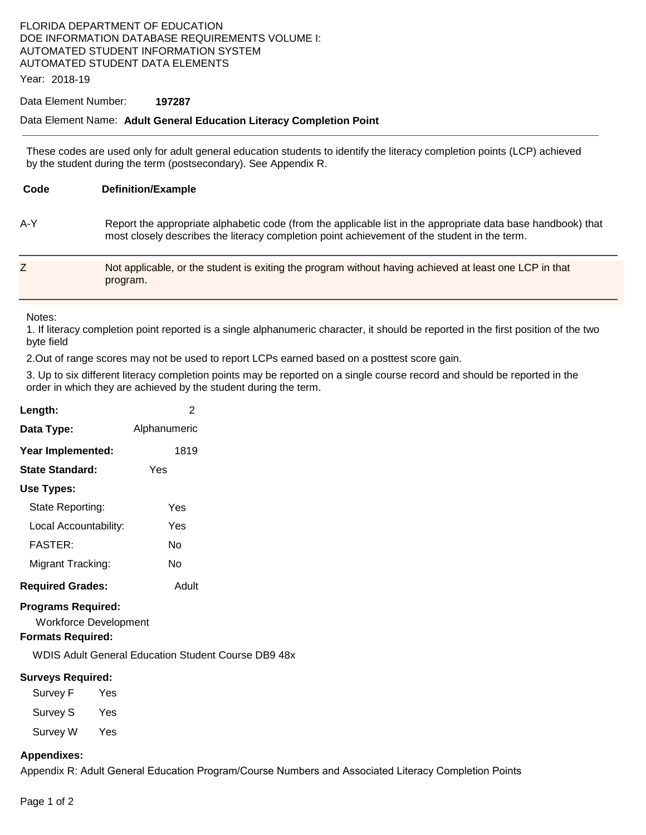## FLORIDA DEPARTMENT OF EDUCATION DOE INFORMATION DATABASE REQUIREMENTS VOLUME I: AUTOMATED STUDENT INFORMATION SYSTEM AUTOMATED STUDENT DATA ELEMENTS

Year: 2018-19

## Data Element Number: **197287**

## Data Element Name: **Adult General Education Literacy Completion Point**

These codes are used only for adult general education students to identify the literacy completion points (LCP) achieved by the student during the term (postsecondary). See Appendix R.

| Code | <b>Definition/Example</b>                                                                                                                                                                                    |
|------|--------------------------------------------------------------------------------------------------------------------------------------------------------------------------------------------------------------|
| A-Y  | Report the appropriate alphabetic code (from the applicable list in the appropriate data base handbook) that<br>most closely describes the literacy completion point achievement of the student in the term. |
|      | Not applicable, or the student is exiting the program without having achieved at least one LCP in that<br>program.                                                                                           |

Notes:

1. If literacy completion point reported is a single alphanumeric character, it should be reported in the first position of the two byte field

2.Out of range scores may not be used to report LCPs earned based on a posttest score gain.

3. Up to six different literacy completion points may be reported on a single course record and should be reported in the order in which they are achieved by the student during the term.

| Length:                 | 2            |
|-------------------------|--------------|
| Data Type:              | Alphanumeric |
| Year Implemented:       | 1819         |
| State Standard:         | Yes          |
| Use Types:              |              |
| State Reporting:        | Yes          |
| Local Accountability:   | Yes          |
| <b>FASTER:</b>          | N٥           |
| Migrant Tracking:       | N٥           |
| <b>Required Grades:</b> | Adult        |

## **Programs Required:**

Workforce Development

## **Formats Required:**

WDIS Adult General Education Student Course DB9 48x

#### **Surveys Required:**

| Survey F | Yes |
|----------|-----|
| Survey S | Yes |
| Survey W | Yes |

#### **Appendixes:**

Appendix R: Adult General Education Program/Course Numbers and Associated Literacy Completion Points